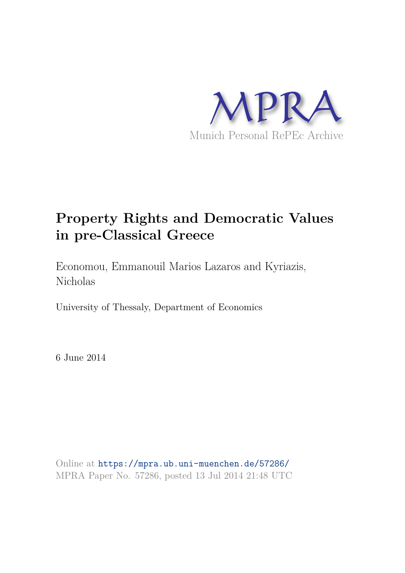

# **Property Rights and Democratic Values in pre-Classical Greece**

Economou, Emmanouil Marios Lazaros and Kyriazis, Nicholas

University of Thessaly, Department of Economics

6 June 2014

Online at https://mpra.ub.uni-muenchen.de/57286/ MPRA Paper No. 57286, posted 13 Jul 2014 21:48 UTC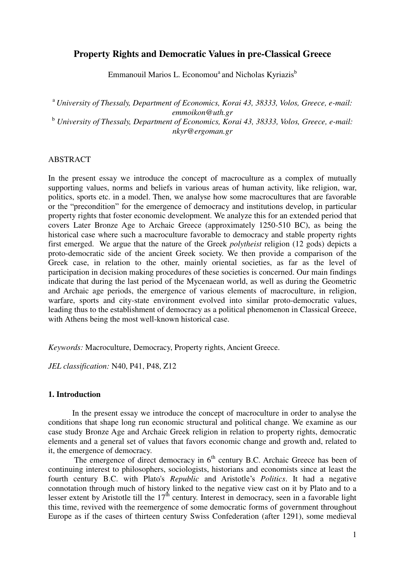# **Property Rights and Democratic Values in pre-Classical Greece**

Emmanouil Marios L. Economou<sup>a</sup> and Nicholas Kyriazis<sup>b</sup>

<sup>a</sup> *University of Thessaly, Department of Economics, Korai 43, 38333, Volos, Greece, e-mail: emmoikon@uth.gr*  <sup>b</sup> *University of Thessaly, Department of Economics, Korai 43, 38333, Volos, Greece, e-mail: nkyr@ergoman.gr* 

## ABSTRACT

In the present essay we introduce the concept of macroculture as a complex of mutually supporting values, norms and beliefs in various areas of human activity, like religion, war, politics, sports etc. in a model. Then, we analyse how some macrocultures that are favorable or the "precondition" for the emergence of democracy and institutions develop, in particular property rights that foster economic development. We analyze this for an extended period that covers Later Bronze Age to Archaic Greece (approximately 1250-510 BC), as being the historical case where such a macroculture favorable to democracy and stable property rights first emerged. We argue that the nature of the Greek *polytheist* religion (12 gods) depicts a proto-democratic side of the ancient Greek society. We then provide a comparison of the Greek case, in relation to the other, mainly oriental societies, as far as the level of participation in decision making procedures of these societies is concerned. Our main findings indicate that during the last period of the Mycenaean world, as well as during the Geometric and Archaic age periods, the emergence of various elements of macroculture, in religion, warfare, sports and city-state environment evolved into similar proto-democratic values, leading thus to the establishment of democracy as a political phenomenon in Classical Greece, with Athens being the most well-known historical case.

*Keywords:* Macroculture, Democracy, Property rights, Ancient Greece.

*JEL classification:* N40, P41, P48, Z12

# **1. Introduction**

 In the present essay we introduce the concept of macroculture in order to analyse the conditions that shape long run economic structural and political change. We examine as our case study Bronze Age and Archaic Greek religion in relation to property rights, democratic elements and a general set of values that favors economic change and growth and, related to it, the emergence of democracy.

The emergence of direct democracy in  $6<sup>th</sup>$  century B.C. Archaic Greece has been of continuing interest to philosophers, sociologists, historians and economists since at least the fourth century B.C. with Plato's *Republic* and Aristotle's *Politics*. It had a negative connotation through much of history linked to the negative view cast on it by Plato and to a lesser extent by Aristotle till the  $17<sup>th</sup>$  century. Interest in democracy, seen in a favorable light this time, revived with the reemergence of some democratic forms of government throughout Europe as if the cases of thirteen century Swiss Confederation (after 1291), some medieval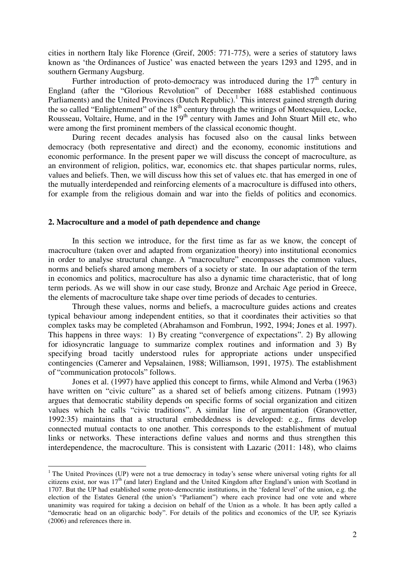cities in northern Italy like Florence (Greif, 2005: 771-775), were a series of statutory laws known as 'the Ordinances of Justice' was enacted between the years 1293 and 1295, and in southern Germany Augsburg.

Further introduction of proto-democracy was introduced during the  $17<sup>th</sup>$  century in England (after the "Glorious Revolution" of December 1688 established continuous Parliaments) and the United Provinces (Dutch Republic).<sup>1</sup> This interest gained strength during the so called "Enlightenment" of the  $18<sup>th</sup>$  century through the writings of Montesquieu, Locke, Rousseau, Voltaire, Hume, and in the 19<sup>th</sup> century with James and John Stuart Mill etc, who were among the first prominent members of the classical economic thought.

During recent decades analysis has focused also on the causal links between democracy (both representative and direct) and the economy, economic institutions and economic performance. In the present paper we will discuss the concept of macroculture, as an environment of religion, politics, war, economics etc. that shapes particular norms, rules, values and beliefs. Then, we will discuss how this set of values etc. that has emerged in one of the mutually interdepended and reinforcing elements of a macroculture is diffused into others, for example from the religious domain and war into the fields of politics and economics.

## **2. Macroculture and a model of path dependence and change**

 $\overline{a}$ 

In this section we introduce, for the first time as far as we know, the concept of macroculture (taken over and adapted from organization theory) into institutional economics in order to analyse structural change. A "macroculture" encompasses the common values, norms and beliefs shared among members of a society or state. In our adaptation of the term in economics and politics, macroculture has also a dynamic time characteristic, that of long term periods. As we will show in our case study, Bronze and Archaic Age period in Greece, the elements of macroculture take shape over time periods of decades to centuries.

 Through these values, norms and beliefs, a macroculture guides actions and creates typical behaviour among independent entities, so that it coordinates their activities so that complex tasks may be completed (Abrahamson and Fombrun, 1992, 1994; Jones et al. 1997). This happens in three ways: 1) By creating "convergence of expectations". 2) By allowing for idiosyncratic language to summarize complex routines and information and 3) By specifying broad tacitly understood rules for appropriate actions under unspecified contingencies (Camerer and Vepsalainen, 1988; Williamson, 1991, 1975). The establishment of "communication protocols" follows.

Jones et al. (1997) have applied this concept to firms, while Almond and Verba (1963) have written on "civic culture" as a shared set of beliefs among citizens. Putnam (1993) argues that democratic stability depends on specific forms of social organization and citizen values which he calls "civic traditions". A similar line of argumentation (Granovetter, 1992:35) maintains that a structural embeddedness is developed: e.g., firms develop connected mutual contacts to one another. This corresponds to the establishment of mutual links or networks. These interactions define values and norms and thus strengthen this interdependence, the macroculture. This is consistent with Lazaric (2011: 148), who claims

<sup>&</sup>lt;sup>1</sup> The United Provinces (UP) were not a true democracy in today's sense where universal voting rights for all citizens exist, nor was 17<sup>th</sup> (and later) England and the United Kingdom after England's union with Scotland in 1707. But the UP had established some proto-democratic institutions, in the 'federal level' of the union, e.g. the election of the Estates General (the union's "Parliament") where each province had one vote and where unanimity was required for taking a decision on behalf of the Union as a whole. It has been aptly called a "democratic head on an oligarchic body". For details of the politics and economics of the UP, see Kyriazis (2006) and references there in.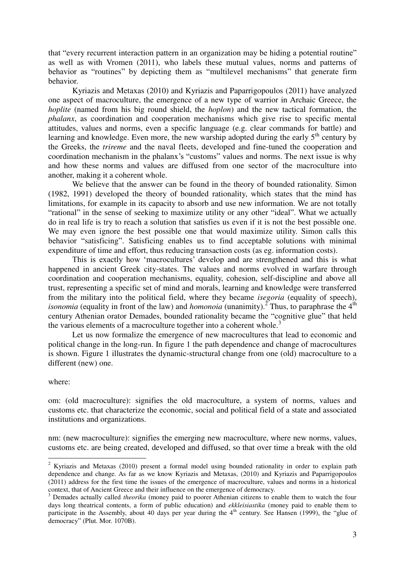that "every recurrent interaction pattern in an organization may be hiding a potential routine" as well as with Vromen (2011), who labels these mutual values, norms and patterns of behavior as "routines" by depicting them as "multilevel mechanisms" that generate firm behavior.

Kyriazis and Metaxas (2010) and Kyriazis and Paparrigopoulos (2011) have analyzed one aspect of macroculture, the emergence of a new type of warrior in Archaic Greece, the *hoplite* (named from his big round shield, the *hoplon*) and the new tactical formation, the *phalanx*, as coordination and cooperation mechanisms which give rise to specific mental attitudes, values and norms, even a specific language (e.g. clear commands for battle) and learning and knowledge. Even more, the new warship adopted during the early  $5<sup>th</sup>$  century by the Greeks, the *trireme* and the naval fleets, developed and fine-tuned the cooperation and coordination mechanism in the phalanx's "customs" values and norms. The next issue is why and how these norms and values are diffused from one sector of the macroculture into another, making it a coherent whole.

 We believe that the answer can be found in the theory of bounded rationality. Simon (1982, 1991) developed the theory of bounded rationality, which states that the mind has limitations, for example in its capacity to absorb and use new information. We are not totally "rational" in the sense of seeking to maximize utility or any other "ideal". What we actually do in real life is try to reach a solution that satisfies us even if it is not the best possible one. We may even ignore the best possible one that would maximize utility. Simon calls this behavior "satisficing". Satisficing enables us to find acceptable solutions with minimal expenditure of time and effort, thus reducing transaction costs (as eg. information costs).

This is exactly how 'macrocultures' develop and are strengthened and this is what happened in ancient Greek city-states. The values and norms evolved in warfare through coordination and cooperation mechanisms, equality, cohesion, self-discipline and above all trust, representing a specific set of mind and morals, learning and knowledge were transferred from the military into the political field, where they became *isegoria* (equality of speech), *isonomia* (equality in front of the law) and *homonoia* (unanimity).<sup>2</sup> Thus, to paraphrase the 4<sup>th</sup> century Athenian orator Demades, bounded rationality became the "cognitive glue" that held the various elements of a macroculture together into a coherent whole.<sup>3</sup>

Let us now formalize the emergence of new macrocultures that lead to economic and political change in the long-run. In figure 1 the path dependence and change of macrocultures is shown. Figure 1 illustrates the dynamic-structural change from one (old) macroculture to a different (new) one.

#### where:

om: (old macroculture): signifies the old macroculture, a system of norms, values and customs etc. that characterize the economic, social and political field of a state and associated institutions and organizations.

nm: (new macroculture): signifies the emerging new macroculture, where new norms, values, customs etc. are being created, developed and diffused, so that over time a break with the old

<sup>&</sup>lt;sup>2</sup> Kyriazis and Metaxas (2010) present a formal model using bounded rationality in order to explain path dependence and change. As far as we know Kyriazis and Metaxas, (2010) and Kyriazis and Paparrigopoulos (2011) address for the first time the issues of the emergence of macroculture, values and norms in a historical context, that of Ancient Greece and their influence on the emergence of democracy.

<sup>&</sup>lt;sup>3</sup> Demades actually called *theorika* (money paid to poorer Athenian citizens to enable them to watch the four days long theatrical contents, a form of public education) and *ekkleisiastika* (money paid to enable them to participate in the Assembly, about 40 days per year during the  $4<sup>th</sup>$  century. See Hansen (1999), the "glue of democracy" (Plut. Mor. 1070B).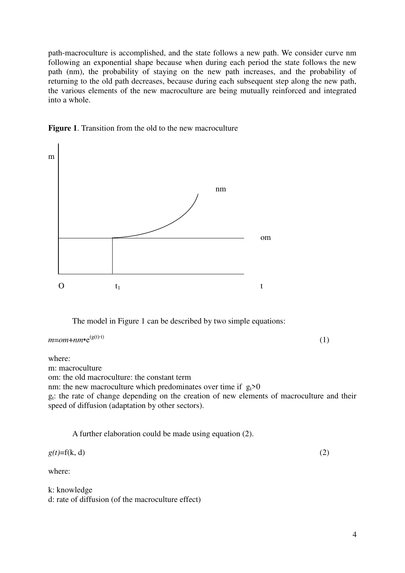path-macroculture is accomplished, and the state follows a new path. We consider curve nm following an exponential shape because when during each period the state follows the new path (nm), the probability of staying on the new path increases, and the probability of returning to the old path decreases, because during each subsequent step along the new path, the various elements of the new macroculture are being mutually reinforced and integrated into a whole.





The model in Figure 1 can be described by two simple equations:

 $m = om + nm \cdot e^{(g(t) \cdot t)}$  $(g(t)·t)$  (1)

where:

m: macroculture

om: the old macroculture: the constant term

nm: the new macroculture which predominates over time if  $g_t>0$ 

gt: the rate of change depending on the creation of new elements of macroculture and their speed of diffusion (adaptation by other sectors).

A further elaboration could be made using equation (2).

 $g(t)=f(k, d)$  (2)

```
where:
```
k: knowledge d: rate of diffusion (of the macroculture effect)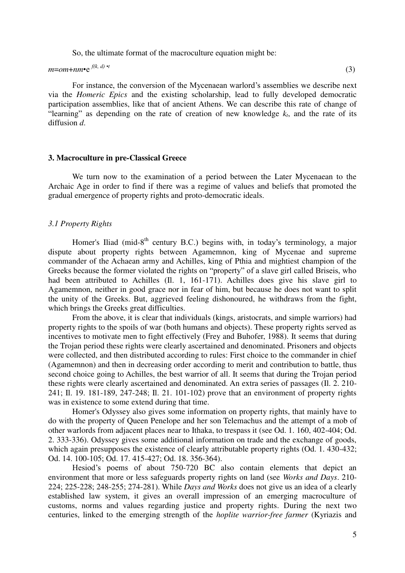So, the ultimate format of the macroculture equation might be:

 $m=om+nm\bullet e^{f(k, d)\bullet t}$  (3)

For instance, the conversion of the Mycenaean warlord's assemblies we describe next via the *Homeric Epics* and the existing scholarship, lead to fully developed democratic participation assemblies, like that of ancient Athens. We can describe this rate of change of "learning" as depending on the rate of creation of new knowledge  $k_t$ , and the rate of its diffusion *d*.

#### **3. Macroculture in pre-Classical Greece**

We turn now to the examination of a period between the Later Mycenaean to the Archaic Age in order to find if there was a regime of values and beliefs that promoted the gradual emergence of property rights and proto-democratic ideals.

#### *3.1 Property Rights*

Homer's Iliad (mid-8<sup>th</sup> century B.C.) begins with, in today's terminology, a major dispute about property rights between Agamemnon, king of Mycenae and supreme commander of the Achaean army and Achilles, king of Pthia and mightiest champion of the Greeks because the former violated the rights on "property" of a slave girl called Briseis, who had been attributed to Achilles (Il. 1, 161-171). Achilles does give his slave girl to Agamemnon, neither in good grace nor in fear of him, but because he does not want to split the unity of the Greeks. But, aggrieved feeling dishonoured, he withdraws from the fight, which brings the Greeks great difficulties.

From the above, it is clear that individuals (kings, aristocrats, and simple warriors) had property rights to the spoils of war (both humans and objects). These property rights served as incentives to motivate men to fight effectively (Frey and Buhofer, 1988). It seems that during the Trojan period these rights were clearly ascertained and denominated. Prisoners and objects were collected, and then distributed according to rules: First choice to the commander in chief (Agamemnon) and then in decreasing order according to merit and contribution to battle, thus second choice going to Achilles, the best warrior of all. It seems that during the Trojan period these rights were clearly ascertained and denominated. An extra series of passages (Il. 2. 210- 241; Il. 19. 181-189, 247-248; Il. 21. 101-102) prove that an environment of property rights was in existence to some extend during that time.

 Homer's Odyssey also gives some information on property rights, that mainly have to do with the property of Queen Penelope and her son Telemachus and the attempt of a mob of other warlords from adjacent places near to Ithaka, to trespass it (see Od. 1. 160, 402-404; Od. 2. 333-336). Odyssey gives some additional information on trade and the exchange of goods, which again presupposes the existence of clearly attributable property rights (Od. 1.430-432; Od. 14. 100-105; Od. 17. 415-427; Od. 18. 356-364).

Hesiod's poems of about 750-720 BC also contain elements that depict an environment that more or less safeguards property rights on land (see *Works and Days*. 210- 224; 225-228; 248-255; 274-281). While *Days and Works* does not give us an idea of a clearly established law system, it gives an overall impression of an emerging macroculture of customs, norms and values regarding justice and property rights. During the next two centuries, linked to the emerging strength of the *hoplite warrior-free farmer* (Kyriazis and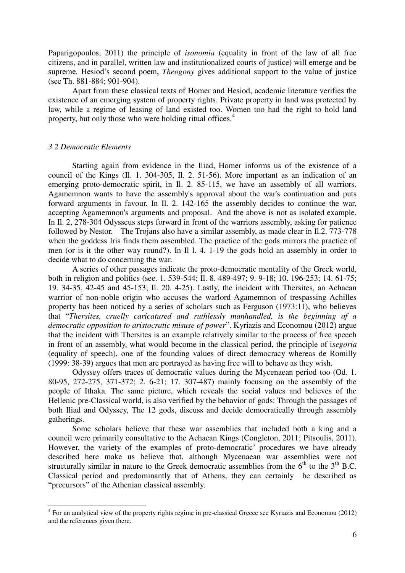Paparigopoulos, 2011) the principle of *isonomia* (equality in front of the law of all free citizens, and in parallel, written law and institutionalized courts of justice) will emerge and be supreme. Hesiod's second poem, *Theogony* gives additional support to the value of justice (see Th. 881-884; 901-904).

Apart from these classical texts of Homer and Hesiod, academic literature verifies the existence of an emerging system of property rights. Private property in land was protected by law, while a regime of leasing of land existed too. Women too had the right to hold land property, but only those who were holding ritual offices.<sup>4</sup>

#### *3.2 Democratic Elements*

 $\overline{a}$ 

Starting again from evidence in the Iliad, Homer informs us of the existence of a council of the Kings (Il. 1. 304-305, Il. 2. 51-56). More important as an indication of an emerging proto-democratic spirit, in Il. 2. 85-115, we have an assembly of all warriors. Agamemnon wants to have the assembly's approval about the war's continuation and puts forward arguments in favour. In Il. 2. 142-165 the assembly decides to continue the war, accepting Agamemnon's arguments and proposal. And the above is not as isolated example. In Il. 2, 278-304 Odysseus steps forward in front of the warriors assembly, asking for patience followed by Nestor. The Trojans also have a similar assembly, as made clear in Il.2. 773-778 when the goddess Iris finds them assembled. The practice of the gods mirrors the practice of men (or is it the other way round?). In Il l. 4. 1-19 the gods hold an assembly in order to decide what to do concerning the war.

A series of other passages indicate the proto-democratic mentality of the Greek world, both in religion and politics (see. 1. 539-544; Il. 8. 489-497; 9. 9-18; 10. 196-253; 14. 61-75; 19. 34-35, 42-45 and 45-153; Il. 20. 4-25). Lastly, the incident with Thersites, an Achaean warrior of non-noble origin who accuses the warlord Agamemnon of trespassing Achilles property has been noticed by a series of scholars such as Ferguson (1973:11), who believes that "*Thersites, cruelly caricatured and ruthlessly manhandled, is the beginning of a democratic opposition to aristocratic misuse of power*". Kyriazis and Economou (2012) argue that the incident with Thersites is an example relatively similar to the process of free speech in front of an assembly, what would become in the classical period, the principle of i*segoria* (equality of speech), one of the founding values of direct democracy whereas de Romilly (1999: 38-39) argues that men are portrayed as having free will to behave as they wish.

Odyssey offers traces of democratic values during the Mycenaean period too (Od. 1. 80-95, 272-275, 371-372; 2. 6-21; 17. 307-487) mainly focusing on the assembly of the people of Ithaka. The same picture, which reveals the social values and believes of the Hellenic pre-Classical world, is also verified by the behavior of gods: Through the passages of both Iliad and Odyssey, The 12 gods, discuss and decide democratically through assembly gatherings.

Some scholars believe that these war assemblies that included both a king and a council were primarily consultative to the Achaean Kings (Congleton, 2011; Pitsoulis, 2011). However, the variety of the examples of proto-democratic' procedures we have already described here make us believe that, although Mycenaean war assemblies were not structurally similar in nature to the Greek democratic assemblies from the  $6<sup>th</sup>$  to the  $3<sup>th</sup>$  B.C. Classical period and predominantly that of Athens, they can certainly be described as "precursors" of the Athenian classical assembly.

<sup>&</sup>lt;sup>4</sup> For an analytical view of the property rights regime in pre-classical Greece see Kyriazis and Economou (2012) and the references given there.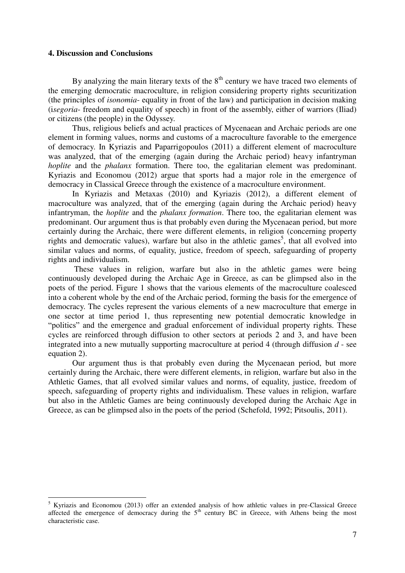# **4. Discussion and Conclusions**

By analyzing the main literary texts of the  $8<sup>th</sup>$  century we have traced two elements of the emerging democratic macroculture, in religion considering property rights securitization (the principles of *isonomia*- equality in front of the law) and participation in decision making (i*segoria*- freedom and equality of speech) in front of the assembly, either of warriors (Iliad) or citizens (the people) in the Odyssey.

Thus, religious beliefs and actual practices of Mycenaean and Archaic periods are one element in forming values, norms and customs of a macroculture favorable to the emergence of democracy. In Kyriazis and Paparrigopoulos (2011) a different element of macroculture was analyzed, that of the emerging (again during the Archaic period) heavy infantryman *hoplite* and the *phalanx* formation. There too, the egalitarian element was predominant. Kyriazis and Economou (2012) argue that sports had a major role in the emergence of democracy in Classical Greece through the existence of a macroculture environment.

In Kyriazis and Metaxas (2010) and Kyriazis (2012), a different element of macroculture was analyzed, that of the emerging (again during the Archaic period) heavy infantryman, the *hoplite* and the *phalanx formation*. There too, the egalitarian element was predominant. Our argument thus is that probably even during the Mycenaean period, but more certainly during the Archaic, there were different elements, in religion (concerning property rights and democratic values), warfare but also in the athletic games<sup>5</sup>, that all evolved into similar values and norms, of equality, justice, freedom of speech, safeguarding of property rights and individualism.

 These values in religion, warfare but also in the athletic games were being continuously developed during the Archaic Age in Greece, as can be glimpsed also in the poets of the period. Figure 1 shows that the various elements of the macroculture coalesced into a coherent whole by the end of the Archaic period, forming the basis for the emergence of democracy. The cycles represent the various elements of a new macroculture that emerge in one sector at time period 1, thus representing new potential democratic knowledge in "politics" and the emergence and gradual enforcement of individual property rights. These cycles are reinforced through diffusion to other sectors at periods 2 and 3, and have been integrated into a new mutually supporting macroculture at period 4 (through diffusion *d* - see equation 2).

Our argument thus is that probably even during the Mycenaean period, but more certainly during the Archaic, there were different elements, in religion, warfare but also in the Athletic Games, that all evolved similar values and norms, of equality, justice, freedom of speech, safeguarding of property rights and individualism. These values in religion, warfare but also in the Athletic Games are being continuously developed during the Archaic Age in Greece, as can be glimpsed also in the poets of the period (Schefold, 1992; Pitsoulis, 2011).

<sup>&</sup>lt;sup>5</sup> Kyriazis and Economou (2013) offer an extended analysis of how athletic values in pre-Classical Greece affected the emergence of democracy during the 5<sup>th</sup> century BC in Greece, with Athens being the most characteristic case.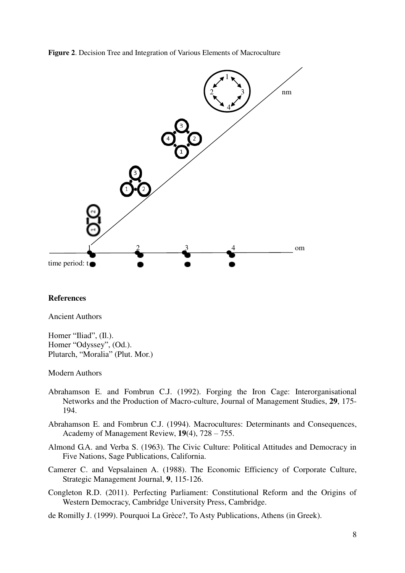**Figure 2**. Decision Tree and Integration of Various Elements of Macroculture



#### **References**

Ancient Authors

Homer "Iliad", (Il.). Homer "Odyssey", (Od.). Plutarch, "Moralia" (Plut. Mor.)

Modern Authors

- Abrahamson E. and Fombrun C.J. (1992). Forging the Iron Cage: Interorganisational Networks and the Production of Macro-culture, Journal of Management Studies, **29**, 175- 194.
- Abrahamson E. and Fombrun C.J. (1994). Macrocultures: Determinants and Consequences, Academy of Management Review, **19**(4), 728 – 755.
- Almond G.A. and Verba S. (1963). The Civic Culture: Political Attitudes and Democracy in Five Nations, Sage Publications, California.
- Camerer C. and Vepsalainen A. (1988). The Economic Efficiency of Corporate Culture, Strategic Management Journal, **9**, 115-126.
- Congleton R.D. (2011). Perfecting Parliament: Constitutional Reform and the Origins of Western Democracy, Cambridge University Press, Cambridge.
- de Romilly J. (1999). Pourquoi La Grèce?, To Asty Publications, Athens (in Greek).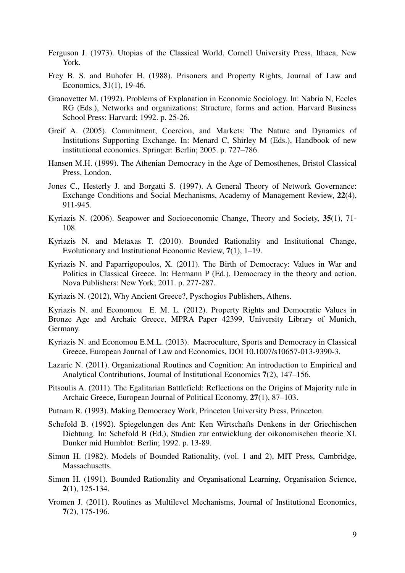- Ferguson J. (1973). Utopias of the Classical World, Cornell University Press, Ithaca, New York.
- Frey B. S. and Buhofer H. (1988). Prisoners and Property Rights, Journal of Law and Economics, **3**1(1), 19-46.
- Granovetter M. (1992). Problems of Explanation in Economic Sociology. In: Nabria N, Eccles RG (Eds.), Networks and organizations: Structure, forms and action. Harvard Business School Press: Harvard; 1992. p. 25-26.
- Greif A. (2005). Commitment, Coercion, and Markets: The Nature and Dynamics of Institutions Supporting Exchange. In: Menard C, Shirley M (Eds.), Handbook of new institutional economics. Springer: Berlin; 2005. p. 727–786.
- Hansen M.H. (1999). The Athenian Democracy in the Age of Demosthenes, Bristol Classical Press, London.
- Jones C., Hesterly J. and Borgatti S. (1997). A General Theory of Network Governance: Exchange Conditions and Social Mechanisms, Academy of Management Review, **22**(4), 911-945.
- Kyriazis N. (2006). Seapower and Socioeconomic Change, Theory and Society, **35**(1), 71- 108.
- Kyriazis N. and Metaxas T. (2010). Bounded Rationality and Institutional Change, Evolutionary and Institutional Economic Review, **7**(1), 1–19.
- Kyriazis N. and Paparrigopoulos, X. (2011). The Birth of Democracy: Values in War and Politics in Classical Greece. In: Hermann P (Ed.), Democracy in the theory and action. Nova Publishers: New York; 2011. p. 277-287.
- Kyriazis N. (2012), Why Ancient Greece?, Pyschogios Publishers, Athens.

Kyriazis N. and Economou E. M. L. (2012). Property Rights and Democratic Values in Bronze Age and Archaic Greece, MPRA Paper 42399, University Library of Munich, Germany.

- Kyriazis N. and Economou E.M.L. (2013). Macroculture, Sports and Democracy in Classical Greece, European Journal of Law and Economics, DOI 10.1007/s10657-013-9390-3.
- Lazaric N. (2011). Organizational Routines and Cognition: An introduction to Empirical and Analytical Contributions, Journal of Institutional Economics **7**(2), 147–156.
- Pitsoulis A. (2011). The Egalitarian Battlefield: Reflections on the Origins of Majority rule in Archaic Greece, European Journal of Political Economy, **27**(1), 87–103.
- Putnam R. (1993). Making Democracy Work, Princeton University Press, Princeton.
- Schefold B. (1992). Spiegelungen des Ant: Ken Wirtschafts Denkens in der Griechischen Dichtung. In: Schefold B (Ed.), Studien zur entwicklung der oikonomischen theorie XI. Dunker mid Humblot: Berlin; 1992. p. 13-89.
- Simon H. (1982). Models of Bounded Rationality, (vol. 1 and 2), MIT Press, Cambridge, Massachusetts.
- Simon H. (1991). Bounded Rationality and Organisational Learning, Organisation Science, **2**(1), 125-134.
- Vromen J. (2011). Routines as Multilevel Mechanisms, Journal of Institutional Economics, **7**(2), 175-196.